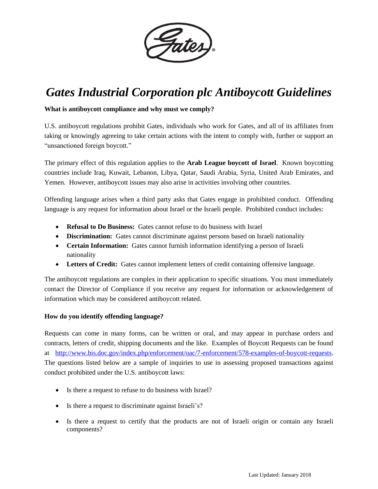

# *Gates Industrial Corporation plc Antiboycott Guidelines*

## **What is antiboycott compliance and why must we comply?**

U.S. antiboycott regulations prohibit Gates, individuals who work for Gates, and all of its affiliates from taking or knowingly agreeing to take certain actions with the intent to comply with, further or support an "unsanctioned foreign boycott."

The primary effect of this regulation applies to the **Arab League boycott of Israel**. Known boycotting countries include Iraq, Kuwait, Lebanon, Libya, Qatar, Saudi Arabia, Syria, United Arab Emirates, and Yemen. However, antiboycott issues may also arise in activities involving other countries.

Offending language arises when a third party asks that Gates engage in prohibited conduct. Offending language is any request for information about Israel or the Israeli people. Prohibited conduct includes:

- **Refusal to Do Business:** Gates cannot refuse to do business with Israel
- **Discrimination:** Gates cannot discriminate against persons based on Israeli nationality
- **Certain Information:** Gates cannot furnish information identifying a person of Israeli nationality
- **Letters of Credit:** Gates cannot implement letters of credit containing offensive language.

The antiboycott regulations are complex in their application to specific situations. You must immediately contact the Director of Compliance if you receive any request for information or acknowledgement of information which may be considered antiboycott related.

## **How do you identify offending language?**

Requests can come in many forms, can be written or oral, and may appear in purchase orders and contracts, letters of credit, shipping documents and the like. Examples of Boycott Requests can be found at [http://www.bis.doc.gov/index.php/enforcement/oac/7-enforcement/578-examples-of-boycott-requests.](http://www.bis.doc.gov/index.php/enforcement/oac/7-enforcement/578-examples-of-boycott-requests) The questions listed below are a sample of inquiries to use in assessing proposed transactions against conduct prohibited under the U.S. antiboycott laws:

- Is there a request to refuse to do business with Israel?
- Is there a request to discriminate against Israeli's?
- Is there a request to certify that the products are not of Israeli origin or contain any Israeli components?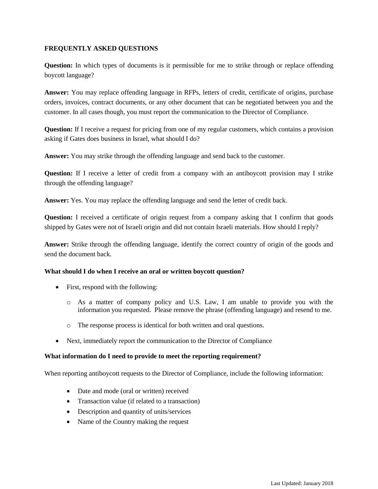## **FREQUENTLY ASKED QUESTIONS**

**Question:** In which types of documents is it permissible for me to strike through or replace offending boycott language?

**Answer:** You may replace offending language in RFPs, letters of credit, certificate of origins, purchase orders, invoices, contract documents, or any other document that can be negotiated between you and the customer. In all cases though, you must report the communication to the Director of Compliance.

**Question:** If I receive a request for pricing from one of my regular customers, which contains a provision asking if Gates does business in Israel, what should I do?

**Answer:** You may strike through the offending language and send back to the customer.

**Question:** If I receive a letter of credit from a company with an antiboycott provision may I strike through the offending language?

**Answer:** Yes. You may replace the offending language and send the letter of credit back.

**Question:** I received a certificate of origin request from a company asking that I confirm that goods shipped by Gates were not of Israeli origin and did not contain Israeli materials. How should I reply?

**Answer:** Strike through the offending language, identify the correct country of origin of the goods and send the document back.

## **What should I do when I receive an oral or written boycott question?**

- First, respond with the following:
	- o As a matter of company policy and U.S. Law, I am unable to provide you with the information you requested. Please remove the phrase (offending language) and resend to me.
	- o The response process is identical for both written and oral questions.
- Next, immediately report the communication to the Director of Compliance

## **What information do I need to provide to meet the reporting requirement?**

When reporting antiboycott requests to the Director of Compliance, include the following information:

- Date and mode (oral or written) received
- Transaction value (if related to a transaction)
- Description and quantity of units/services
- Name of the Country making the request